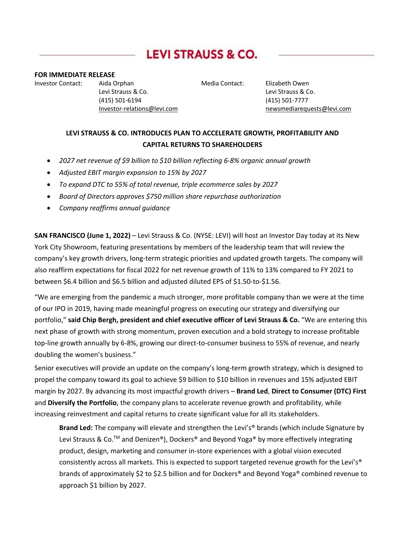# **LEVI STRAUSS & CO.**

#### **FOR IMMEDIATE RELEASE**

Investor Contact:    Aida Orphan    Media Contact: Elizabeth Owen    Levi Strauss & Co.    Levi Strauss & Co.    (415) 501-6194    (415) 501-7777

Investor-relations@levi.com https://www.mewsmediarequests@levi.com

## **LEVI STRAUSS & CO. INTRODUCES PLAN TO ACCELERATE GROWTH, PROFITABILITY AND CAPITAL RETURNS TO SHAREHOLDERS**

- *2027 net revenue of \$9 billion to \$10 billion reflecting 6-8% organic annual growth*
- *Adjusted EBIT margin expansion to 15% by 2027*
- *To expand DTC to 55% of total revenue, triple ecommerce sales by 2027*
- *Board of Directors approves \$750 million share repurchase authorization*
- *Company reaffirms annual guidance*

**SAN FRANCISCO (June 1, 2022)** – Levi Strauss & Co. (NYSE: LEVI) will host an Investor Day today at its New York City Showroom, featuring presentations by members of the leadership team that will review the company's key growth drivers, long-term strategic priorities and updated growth targets. The company will also reaffirm expectations for fiscal 2022 for net revenue growth of 11% to 13% compared to FY 2021 to between \$6.4 billion and \$6.5 billion and adjusted diluted EPS of \$1.50-to-\$1.56.

"We are emerging from the pandemic a much stronger, more profitable company than we were at the time of our IPO in 2019, having made meaningful progress on executing our strategy and diversifying our portfolio," **said Chip Bergh, president and chief executive officer of Levi Strauss & Co.** "We are entering this next phase of growth with strong momentum, proven execution and a bold strategy to increase profitable top-line growth annually by 6-8%, growing our direct-to-consumer business to 55% of revenue, and nearly doubling the women's business."

Senior executives will provide an update on the company's long-term growth strategy, which is designed to propel the company toward its goal to achieve \$9 billion to \$10 billion in revenues and 15% adjusted EBIT margin by 2027. By advancing its most impactful growth drivers – **Brand Led**, **Direct to Consumer (DTC) First** and **Diversify the Portfolio**, the company plans to accelerate revenue growth and profitability, while increasing reinvestment and capital returns to create significant value for all its stakeholders.

**Brand Led:** The company will elevate and strengthen the Levi's® brands (which include Signature by Levi Strauss & Co.<sup>TM</sup> and Denizen<sup>®</sup>), Dockers<sup>®</sup> and Beyond Yoga<sup>®</sup> by more effectively integrating product, design, marketing and consumer in-store experiences with a global vision executed consistently across all markets. This is expected to support targeted revenue growth for the Levi's® brands of approximately \$2 to \$2.5 billion and for Dockers® and Beyond Yoga® combined revenue to approach \$1 billion by 2027.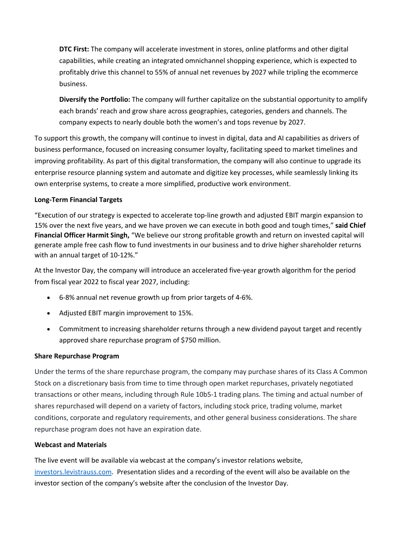**DTC First:** The company will accelerate investment in stores, online platforms and other digital capabilities, while creating an integrated omnichannel shopping experience, which is expected to profitably drive this channel to 55% of annual net revenues by 2027 while tripling the ecommerce business.

**Diversify the Portfolio:** The company will further capitalize on the substantial opportunity to amplify each brands' reach and grow share across geographies, categories, genders and channels. The company expects to nearly double both the women's and tops revenue by 2027.

To support this growth, the company will continue to invest in digital, data and AI capabilities as drivers of business performance, focused on increasing consumer loyalty, facilitating speed to market timelines and improving profitability. As part of this digital transformation, the company will also continue to upgrade its enterprise resource planning system and automate and digitize key processes, while seamlessly linking its own enterprise systems, to create a more simplified, productive work environment.

## **Long-Term Financial Targets**

"Execution of our strategy is expected to accelerate top-line growth and adjusted EBIT margin expansion to 15% over the next five years, and we have proven we can execute in both good and tough times," **said Chief Financial Officer Harmit Singh,** "We believe our strong profitable growth and return on invested capital will generate ample free cash flow to fund investments in our business and to drive higher shareholder returns with an annual target of 10-12%."

At the Investor Day, the company will introduce an accelerated five-year growth algorithm for the period from fiscal year 2022 to fiscal year 2027, including:

- 6-8% annual net revenue growth up from prior targets of 4-6%.
- Adjusted EBIT margin improvement to 15%.
- Commitment to increasing shareholder returns through a new dividend payout target and recently approved share repurchase program of \$750 million.

## **Share Repurchase Program**

Under the terms of the share repurchase program, the company may purchase shares of its Class A Common Stock on a discretionary basis from time to time through open market repurchases, privately negotiated transactions or other means, including through Rule 10b5-1 trading plans. The timing and actual number of shares repurchased will depend on a variety of factors, including stock price, trading volume, market conditions, corporate and regulatory requirements, and other general business considerations. The share repurchase program does not have an expiration date.

## **Webcast and Materials**

The live event will be available via webcast at the company's investor relations website, investors.levistrauss.com. Presentation slides and a recording of the event will also be available on the investor section of the company's website after the conclusion of the Investor Day.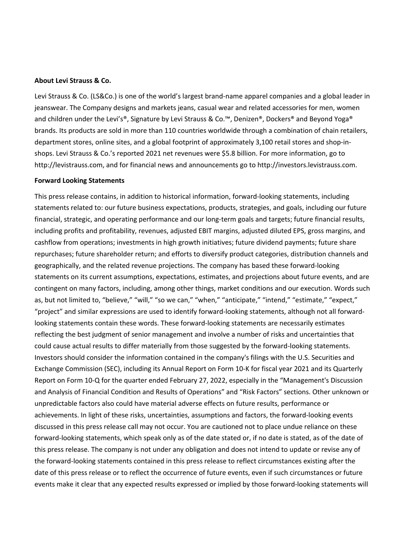#### **About Levi Strauss & Co.**

Levi Strauss & Co. (LS&Co.) is one of the world's largest brand-name apparel companies and a global leader in jeanswear. The Company designs and markets jeans, casual wear and related accessories for men, women and children under the Levi's®, Signature by Levi Strauss & Co.<sup>™</sup>, Denizen®, Dockers® and Beyond Yoga® brands. Its products are sold in more than 110 countries worldwide through a combination of chain retailers, department stores, online sites, and a global footprint of approximately 3,100 retail stores and shop-inshops. Levi Strauss & Co.'s reported 2021 net revenues were \$5.8 billion. For more information, go to http://levistrauss.com, and for financial news and announcements go to http://investors.levistrauss.com.

#### **Forward Looking Statements**

This press release contains, in addition to historical information, forward-looking statements, including statements related to: our future business expectations, products, strategies, and goals, including our future financial, strategic, and operating performance and our long-term goals and targets; future financial results, including profits and profitability, revenues, adjusted EBIT margins, adjusted diluted EPS, gross margins, and cashflow from operations; investments in high growth initiatives; future dividend payments; future share repurchases; future shareholder return; and efforts to diversify product categories, distribution channels and geographically, and the related revenue projections. The company has based these forward-looking statements on its current assumptions, expectations, estimates, and projections about future events, and are contingent on many factors, including, among other things, market conditions and our execution. Words such as, but not limited to, "believe," "will," "so we can," "when," "anticipate," "intend," "estimate," "expect," "project" and similar expressions are used to identify forward-looking statements, although not all forwardlooking statements contain these words. These forward-looking statements are necessarily estimates reflecting the best judgment of senior management and involve a number of risks and uncertainties that could cause actual results to differ materially from those suggested by the forward-looking statements. Investors should consider the information contained in the company's filings with the U.S. Securities and Exchange Commission (SEC), including its Annual Report on Form 10-K for fiscal year 2021 and its Quarterly Report on Form 10-Q for the quarter ended February 27, 2022, especially in the "Management's Discussion and Analysis of Financial Condition and Results of Operations" and "Risk Factors" sections. Other unknown or unpredictable factors also could have material adverse effects on future results, performance or achievements. In light of these risks, uncertainties, assumptions and factors, the forward-looking events discussed in this press release call may not occur. You are cautioned not to place undue reliance on these forward-looking statements, which speak only as of the date stated or, if no date is stated, as of the date of this press release. The company is not under any obligation and does not intend to update or revise any of the forward-looking statements contained in this press release to reflect circumstances existing after the date of this press release or to reflect the occurrence of future events, even if such circumstances or future events make it clear that any expected results expressed or implied by those forward-looking statements will